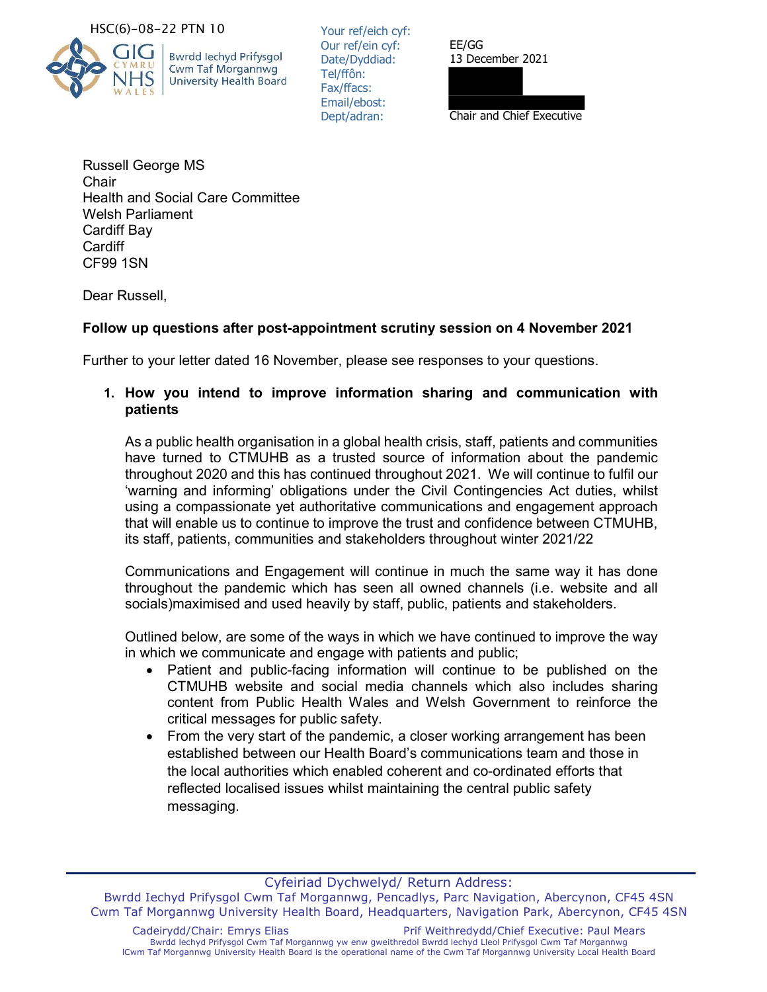#### HSC(6)-08-22 PTN 10



**Bwrdd lechyd Prifysgol** Cwm Taf Morgannwg **University Health Board**  Your ref/eich cyf: Our ref/ein cyf: Date/Dyddiad: Tel/ffôn: Fax/ffacs: Email/ebost: Dept/adran:

EE/GG 13 December 2021

Chair and Chief Executive

Russell George MS **Chair** Health and Social Care Committee Welsh Parliament Cardiff Bay **Cardiff** CF99 1SN

Dear Russell,

# Follow up questions after post-appointment scrutiny session on 4 November 2021

Further to your letter dated 16 November, please see responses to your questions.

## 1. How you intend to improve information sharing and communication with patients

As a public health organisation in a global health crisis, staff, patients and communities have turned to CTMUHB as a trusted source of information about the pandemic throughout 2020 and this has continued throughout 2021. We will continue to fulfil our 'warning and informing' obligations under the Civil Contingencies Act duties, whilst using a compassionate yet authoritative communications and engagement approach that will enable us to continue to improve the trust and confidence between CTMUHB, its staff, patients, communities and stakeholders throughout winter 2021/22

Communications and Engagement will continue in much the same way it has done throughout the pandemic which has seen all owned channels (i.e. website and all socials)maximised and used heavily by staff, public, patients and stakeholders.

Outlined below, are some of the ways in which we have continued to improve the way in which we communicate and engage with patients and public;

- Patient and public-facing information will continue to be published on the CTMUHB website and social media channels which also includes sharing content from Public Health Wales and Welsh Government to reinforce the critical messages for public safety.
- From the very start of the pandemic, a closer working arrangement has been established between our Health Board's communications team and those in the local authorities which enabled coherent and co-ordinated efforts that reflected localised issues whilst maintaining the central public safety messaging.

Cyfeiriad Dychwelyd/ Return Address:

Bwrdd Iechyd Prifysgol Cwm Taf Morgannwg, Pencadlys, Parc Navigation, Abercynon, CF45 4SN Cwm Taf Morgannwg University Health Board, Headquarters, Navigation Park, Abercynon, CF45 4SN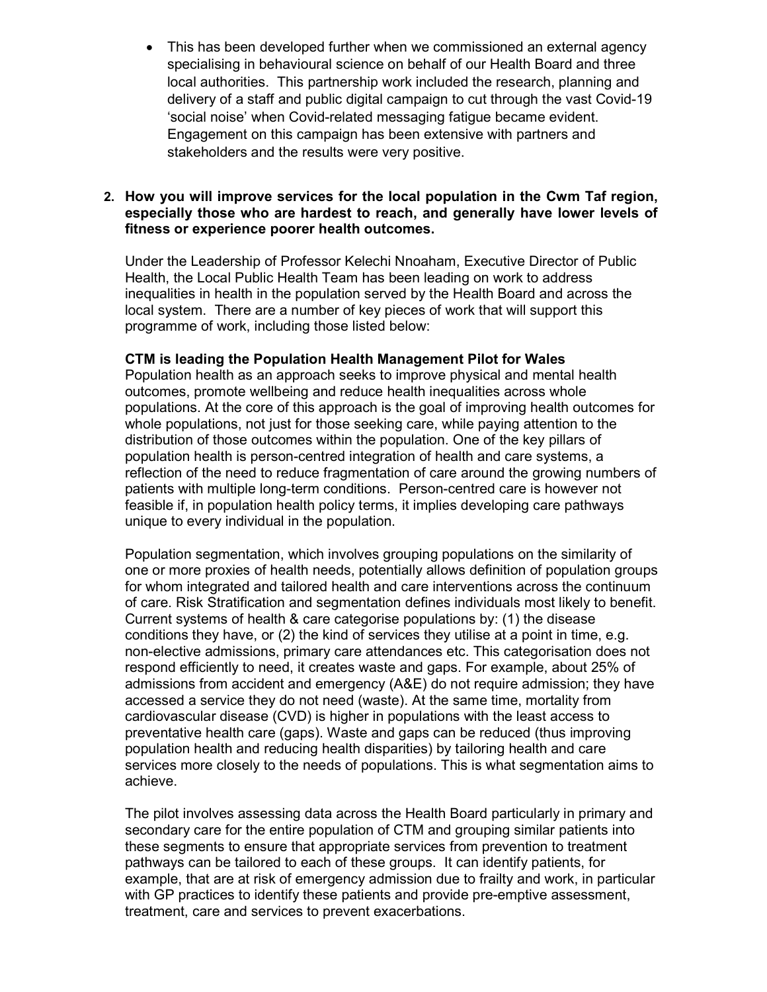This has been developed further when we commissioned an external agency specialising in behavioural science on behalf of our Health Board and three local authorities. This partnership work included the research, planning and delivery of a staff and public digital campaign to cut through the vast Covid-19 'social noise' when Covid-related messaging fatigue became evident. Engagement on this campaign has been extensive with partners and stakeholders and the results were very positive.

## 2. How you will improve services for the local population in the Cwm Taf region, especially those who are hardest to reach, and generally have lower levels of fitness or experience poorer health outcomes.

Under the Leadership of Professor Kelechi Nnoaham, Executive Director of Public Health, the Local Public Health Team has been leading on work to address inequalities in health in the population served by the Health Board and across the local system. There are a number of key pieces of work that will support this programme of work, including those listed below:

### CTM is leading the Population Health Management Pilot for Wales

Population health as an approach seeks to improve physical and mental health outcomes, promote wellbeing and reduce health inequalities across whole populations. At the core of this approach is the goal of improving health outcomes for whole populations, not just for those seeking care, while paying attention to the distribution of those outcomes within the population. One of the key pillars of population health is person-centred integration of health and care systems, a reflection of the need to reduce fragmentation of care around the growing numbers of patients with multiple long-term conditions. Person-centred care is however not feasible if, in population health policy terms, it implies developing care pathways unique to every individual in the population.

Population segmentation, which involves grouping populations on the similarity of one or more proxies of health needs, potentially allows definition of population groups for whom integrated and tailored health and care interventions across the continuum of care. Risk Stratification and segmentation defines individuals most likely to benefit. Current systems of health & care categorise populations by: (1) the disease conditions they have, or (2) the kind of services they utilise at a point in time, e.g. non-elective admissions, primary care attendances etc. This categorisation does not respond efficiently to need, it creates waste and gaps. For example, about 25% of admissions from accident and emergency (A&E) do not require admission; they have accessed a service they do not need (waste). At the same time, mortality from cardiovascular disease (CVD) is higher in populations with the least access to preventative health care (gaps). Waste and gaps can be reduced (thus improving population health and reducing health disparities) by tailoring health and care services more closely to the needs of populations. This is what segmentation aims to achieve.

The pilot involves assessing data across the Health Board particularly in primary and secondary care for the entire population of CTM and grouping similar patients into these segments to ensure that appropriate services from prevention to treatment pathways can be tailored to each of these groups. It can identify patients, for example, that are at risk of emergency admission due to frailty and work, in particular with GP practices to identify these patients and provide pre-emptive assessment, treatment, care and services to prevent exacerbations.